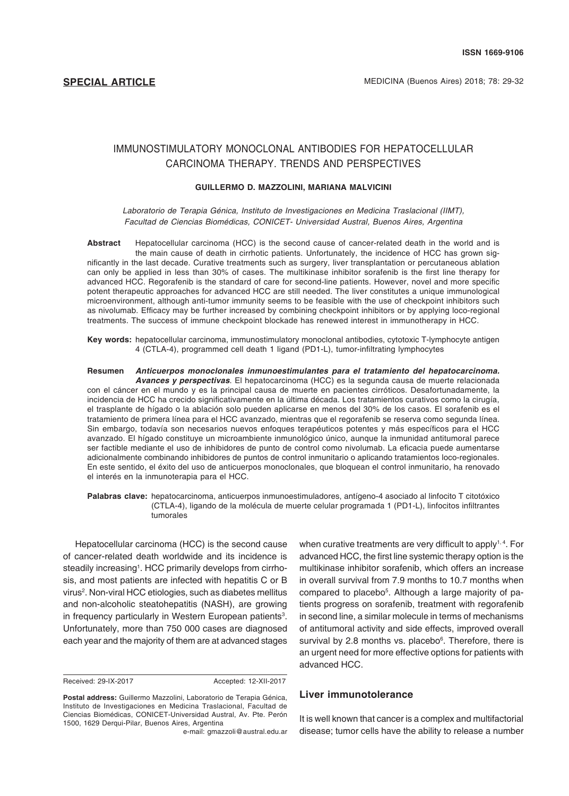# IMMUNOSTIMULATORY MONOCLONAL ANTIBODIES FOR HEPATOCELLULAR CARCINOMA THERAPY. TRENDS AND PERSPECTIVES

#### **GUILLERMO D. MAZZOLINI, MARIANA MALVICINI**

*Laboratorio de Terapia Génica, Instituto de Investigaciones en Medicina Traslacional (IIMT), Facultad de Ciencias Biomédicas, CONICET- Universidad Austral, Buenos Aires, Argentina*

**Abstract** Hepatocellular carcinoma (HCC) is the second cause of cancer-related death in the world and is the main cause of death in cirrhotic patients. Unfortunately, the incidence of HCC has grown significantly in the last decade. Curative treatments such as surgery, liver transplantation or percutaneous ablation can only be applied in less than 30% of cases. The multikinase inhibitor sorafenib is the first line therapy for advanced HCC. Regorafenib is the standard of care for second-line patients. However, novel and more specific potent therapeutic approaches for advanced HCC are still needed. The liver constitutes a unique immunological microenvironment, although anti-tumor immunity seems to be feasible with the use of checkpoint inhibitors such as nivolumab. Efficacy may be further increased by combining checkpoint inhibitors or by applying loco-regional treatments. The success of immune checkpoint blockade has renewed interest in immunotherapy in HCC.

**Key words:** hepatocellular carcinoma, immunostimulatory monoclonal antibodies, cytotoxic T-lymphocyte antigen 4 (CTLA-4), programmed cell death 1 ligand (PD1-L), tumor-infiltrating lymphocytes

**Resumen** *Anticuerpos monoclonales inmunoestimulantes para el tratamiento del hepatocarcinoma. Avances y perspectivas*. El hepatocarcinoma (HCC) es la segunda causa de muerte relacionada con el cáncer en el mundo y es la principal causa de muerte en pacientes cirróticos. Desafortunadamente, la incidencia de HCC ha crecido significativamente en la última década. Los tratamientos curativos como la cirugía, el trasplante de hígado o la ablación solo pueden aplicarse en menos del 30% de los casos. El sorafenib es el tratamiento de primera línea para el HCC avanzado, mientras que el regorafenib se reserva como segunda línea. Sin embargo, todavía son necesarios nuevos enfoques terapéuticos potentes y más específicos para el HCC avanzado. El hígado constituye un microambiente inmunológico único, aunque la inmunidad antitumoral parece ser factible mediante el uso de inhibidores de punto de control como nivolumab. La eficacia puede aumentarse adicionalmente combinando inhibidores de puntos de control inmunitario o aplicando tratamientos loco-regionales. En este sentido, el éxito del uso de anticuerpos monoclonales, que bloquean el control inmunitario, ha renovado el interés en la inmunoterapia para el HCC.

**Palabras clave:** hepatocarcinoma, anticuerpos inmunoestimuladores, antígeno-4 asociado al linfocito T citotóxico (CTLA-4), ligando de la molécula de muerte celular programada 1 (PD1-L), linfocitos infiltrantes tumorales

Hepatocellular carcinoma (HCC) is the second cause of cancer-related death worldwide and its incidence is steadily increasing<sup>1</sup>. HCC primarily develops from cirrhosis, and most patients are infected with hepatitis C or B virus<sup>2</sup>. Non-viral HCC etiologies, such as diabetes mellitus and non-alcoholic steatohepatitis (NASH), are growing in frequency particularly in Western European patients<sup>3</sup>. Unfortunately, more than 750 000 cases are diagnosed each year and the majority of them are at advanced stages

Received: 29-IX-2017 Accepted: 12-XII-2017

when curative treatments are very difficult to apply<sup>1,4</sup>. For advanced HCC, the first line systemic therapy option is the multikinase inhibitor sorafenib, which offers an increase in overall survival from 7.9 months to 10.7 months when compared to placebo<sup>5</sup>. Although a large majority of patients progress on sorafenib, treatment with regorafenib in second line, a similar molecule in terms of mechanisms of antitumoral activity and side effects, improved overall survival by 2.8 months vs. placebo<sup>6</sup>. Therefore, there is an urgent need for more effective options for patients with advanced HCC.

## **Liver immunotolerance**

It is well known that cancer is a complex and multifactorial disease; tumor cells have the ability to release a number

**Postal address:** Guillermo Mazzolini, Laboratorio de Terapia Génica, Instituto de Investigaciones en Medicina Traslacional, Facultad de Ciencias Biomédicas, CONICET-Universidad Austral, Av. Pte. Perón 1500, 1629 Derqui-Pilar, Buenos Aires, Argentina

e-mail: gmazzoli@austral.edu.ar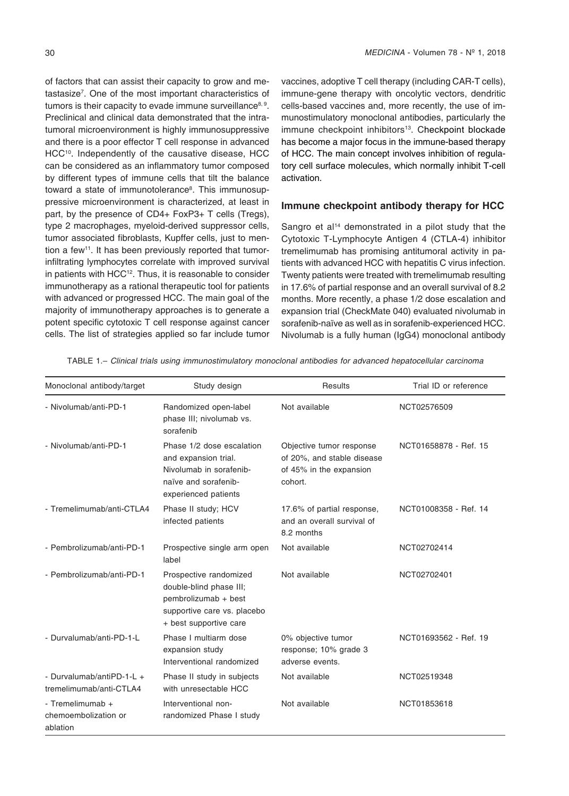of factors that can assist their capacity to grow and metastasize7 . One of the most important characteristics of tumors is their capacity to evade immune surveillance<sup>8, 9</sup>. Preclinical and clinical data demonstrated that the intratumoral microenvironment is highly immunosuppressive and there is a poor effector T cell response in advanced HCC<sup>10</sup>. Independently of the causative disease, HCC can be considered as an inflammatory tumor composed by different types of immune cells that tilt the balance toward a state of immunotolerance<sup>s</sup>. This immunosuppressive microenvironment is characterized, at least in part, by the presence of CD4+ FoxP3+ T cells (Tregs), type 2 macrophages, myeloid-derived suppressor cells, tumor associated fibroblasts, Kupffer cells, just to mention a few<sup>11</sup>. It has been previously reported that tumorinfiltrating lymphocytes correlate with improved survival in patients with HCC<sup>12</sup>. Thus, it is reasonable to consider immunotherapy as a rational therapeutic tool for patients with advanced or progressed HCC. The main goal of the majority of immunotherapy approaches is to generate a potent specific cytotoxic T cell response against cancer cells. The list of strategies applied so far include tumor

vaccines, adoptive T cell therapy (including CAR-T cells), immune-gene therapy with oncolytic vectors, dendritic cells-based vaccines and, more recently, the use of immunostimulatory monoclonal antibodies, particularly the immune checkpoint inhibitors<sup>13</sup>. Checkpoint blockade has become a major focus in the immune-based therapy of HCC. The main concept involves inhibition of regulatory cell surface molecules, which normally inhibit T-cell activation.

## **Immune checkpoint antibody therapy for HCC**

Sangro et al<sup>14</sup> demonstrated in a pilot study that the Cytotoxic T-Lymphocyte Antigen 4 (CTLA-4) inhibitor tremelimumab has promising antitumoral activity in patients with advanced HCC with hepatitis C virus infection. Twenty patients were treated with tremelimumab resulting in 17.6% of partial response and an overall survival of 8.2 months. More recently, a phase 1/2 dose escalation and expansion trial (CheckMate 040) evaluated nivolumab in sorafenib-naïve as well as in sorafenib-experienced HCC. Nivolumab is a fully human (IgG4) monoclonal antibody

| Monoclonal antibody/target                           | Study design                                                                                                                       | Results                                                                                      | Trial ID or reference |
|------------------------------------------------------|------------------------------------------------------------------------------------------------------------------------------------|----------------------------------------------------------------------------------------------|-----------------------|
| - Nivolumab/anti-PD-1                                | Randomized open-label<br>phase III; nivolumab vs.<br>sorafenib                                                                     | Not available                                                                                | NCT02576509           |
| - Nivolumab/anti-PD-1                                | Phase 1/2 dose escalation<br>and expansion trial.<br>Nivolumab in sorafenib-<br>naïve and sorafenib-<br>experienced patients       | Objective tumor response<br>of 20%, and stable disease<br>of 45% in the expansion<br>cohort. | NCT01658878 - Ref. 15 |
| - Tremelimumab/anti-CTLA4                            | Phase II study; HCV<br>infected patients                                                                                           | 17.6% of partial response,<br>and an overall survival of<br>8.2 months                       | NCT01008358 - Ref. 14 |
| - Pembrolizumab/anti-PD-1                            | Prospective single arm open<br>label                                                                                               | Not available                                                                                | NCT02702414           |
| - Pembrolizumab/anti-PD-1                            | Prospective randomized<br>double-blind phase III;<br>pembrolizumab + best<br>supportive care vs. placebo<br>+ best supportive care | Not available                                                                                | NCT02702401           |
| - Durvalumab/anti-PD-1-L                             | Phase I multiarm dose<br>expansion study<br>Interventional randomized                                                              | 0% objective tumor<br>response; 10% grade 3<br>adverse events.                               | NCT01693562 - Ref. 19 |
| - Durvalumab/antiPD-1-L +<br>tremelimumab/anti-CTLA4 | Phase II study in subjects<br>with unresectable HCC                                                                                | Not available                                                                                | NCT02519348           |
| - Tremelimumab +<br>chemoembolization or<br>ablation | Interventional non-<br>randomized Phase I study                                                                                    | Not available                                                                                | NCT01853618           |

TABLE 1.– *Clinical trials using immunostimulatory monoclonal antibodies for advanced hepatocellular carcinoma*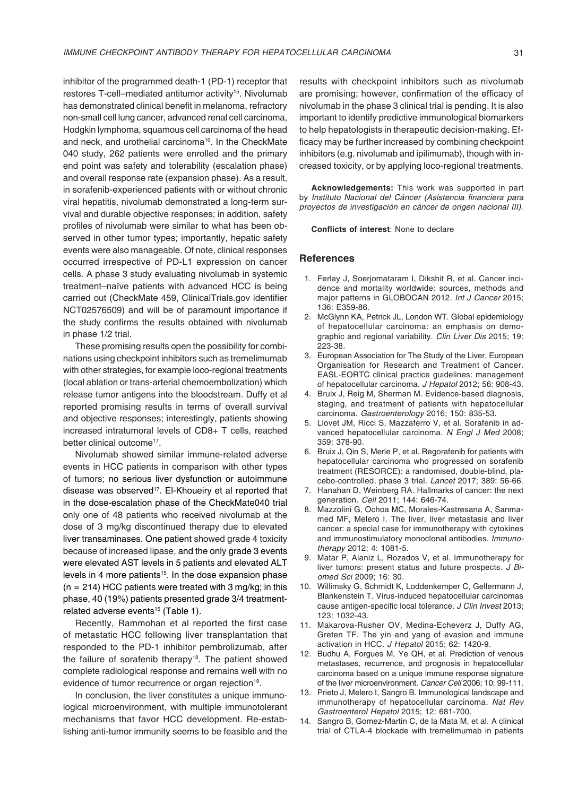inhibitor of the programmed death-1 (PD-1) receptor that restores T-cell–mediated antitumor activity<sup>15</sup>. Nivolumab has demonstrated clinical benefit in melanoma, refractory non-small cell lung cancer, advanced renal cell carcinoma, Hodgkin lymphoma, squamous cell carcinoma of the head and neck, and urothelial carcinoma<sup>16</sup>. In the CheckMate 040 study, 262 patients were enrolled and the primary end point was safety and tolerability (escalation phase) and overall response rate (expansion phase). As a result, in sorafenib-experienced patients with or without chronic viral hepatitis, nivolumab demonstrated a long-term survival and durable objective responses; in addition, safety profiles of nivolumab were similar to what has been observed in other tumor types; importantly, hepatic safety events were also manageable. Of note, clinical responses occurred irrespective of PD-L1 expression on cancer cells. A phase 3 study evaluating nivolumab in systemic treatment–naïve patients with advanced HCC is being carried out (CheckMate 459, ClinicalTrials.gov identifier NCT02576509) and will be of paramount importance if the study confirms the results obtained with nivolumab in phase 1/2 trial.

These promising results open the possibility for combinations using checkpoint inhibitors such as tremelimumab with other strategies, for example loco-regional treatments (local ablation or trans-arterial chemoembolization) which release tumor antigens into the bloodstream. Duffy et al reported promising results in terms of overall survival and objective responses; interestingly, patients showing increased intratumoral levels of CD8+ T cells, reached better clinical outcome<sup>17</sup>.

Nivolumab showed similar immune-related adverse events in HCC patients in comparison with other types of tumors; no serious liver dysfunction or autoimmune disease was observed<sup>17</sup>. El-Khoueiry et al reported that in the dose-escalation phase of the CheckMate040 trial only one of 48 patients who received nivolumab at the dose of 3 mg/kg discontinued therapy due to elevated liver transaminases. One patient showed grade 4 toxicity because of increased lipase, and the only grade 3 events were elevated AST levels in 5 patients and elevated ALT levels in 4 more patients<sup>15</sup>. In the dose expansion phase  $(n = 214)$  HCC patients were treated with 3 mg/kg; in this phase, 40 (19%) patients presented grade 3/4 treatmentrelated adverse events<sup>15</sup> (Table 1).

Recently, Rammohan et al reported the first case of metastatic HCC following liver transplantation that responded to the PD-1 inhibitor pembrolizumab, after the failure of sorafenib therapy<sup>18</sup>. The patient showed complete radiological response and remains well with no evidence of tumor recurrence or organ rejection<sup>19</sup>.

In conclusion, the liver constitutes a unique immunological microenvironment, with multiple immunotolerant mechanisms that favor HCC development. Re-establishing anti-tumor immunity seems to be feasible and the

results with checkpoint inhibitors such as nivolumab are promising; however, confirmation of the efficacy of nivolumab in the phase 3 clinical trial is pending. It is also important to identify predictive immunological biomarkers to help hepatologists in therapeutic decision-making. Efficacy may be further increased by combining checkpoint inhibitors (e.g. nivolumab and ipilimumab), though with increased toxicity, or by applying loco-regional treatments.

**Acknowledgements:** This work was supported in part by *Instituto Nacional del Cáncer* (Asistencia financiera para *proyectos de investigación en cáncer de origen nacional III).*

**Conflicts of interest**: None to declare

### **References**

- 1. Ferlay J, Soerjomataram I, Dikshit R, et al. Cancer incidence and mortality worldwide: sources, methods and major patterns in GLOBOCAN 2012. *Int J Cancer* 2015; 136: E359-86.
- 2. McGlynn KA, Petrick JL, London WT. Global epidemiology of hepatocellular carcinoma: an emphasis on demographic and regional variability. *Clin Liver Dis* 2015; 19: 223-38.
- 3. European Association for The Study of the Liver, European Organisation for Research and Treatment of Cancer. EASL-EORTC clinical practice guidelines: management of hepatocellular carcinoma. *J Hepatol* 2012; 56: 908-43.
- 4. Bruix J, Reig M, Sherman M. Evidence-based diagnosis, staging, and treatment of patients with hepatocellular carcinoma. *Gastroenterology* 2016; 150: 835-53.
- 5. Llovet JM, Ricci S, Mazzaferro V, et al. Sorafenib in advanced hepatocellular carcinoma. *N Engl J Med* 2008; 359: 378-90.
- 6. Bruix J, Qin S, Merle P, et al. Regorafenib for patients with hepatocellular carcinoma who progressed on sorafenib treatment (RESORCE): a randomised, double-blind, placebo-controlled, phase 3 trial. *Lancet* 2017; 389: 56-66.
- 7. Hanahan D, Weinberg RA. Hallmarks of cancer: the next generation. *Cell* 2011; 144: 646-74.
- 8. Mazzolini G, Ochoa MC, Morales-Kastresana A, Sanmamed MF, Melero I. The liver, liver metastasis and liver cancer: a special case for immunotherapy with cytokines and immunostimulatory monoclonal antibodies. *Immunotherapy* 2012; 4: 1081-5.
- 9. Matar P, Alaniz L, Rozados V, et al. Immunotherapy for liver tumors: present status and future prospects. *J Biomed Sci* 2009; 16: 30.
- 10. Willimsky G, Schmidt K, Loddenkemper C, Gellermann J, Blankenstein T. Virus-induced hepatocellular carcinomas cause antigen-specific local tolerance. *J Clin Invest* 2013; 123: 1032-43.
- 11. Makarova-Rusher OV, Medina-Echeverz J, Duffy AG, Greten TF. The yin and yang of evasion and immune activation in HCC. *J Hepatol* 2015; 62: 1420-9.
- 12. Budhu A, Forgues M, Ye QH, et al. Prediction of venous metastases, recurrence, and prognosis in hepatocellular carcinoma based on a unique immune response signature of the liver microenvironment. *Cancer Cell* 2006; 10: 99-111.
- 13. Prieto J, Melero I, Sangro B. Immunological landscape and immunotherapy of hepatocellular carcinoma. *Nat Rev Gastroenterol Hepatol* 2015; 12: 681-700.
- Sangro B, Gomez-Martin C, de la Mata M, et al. A clinical trial of CTLA-4 blockade with tremelimumab in patients